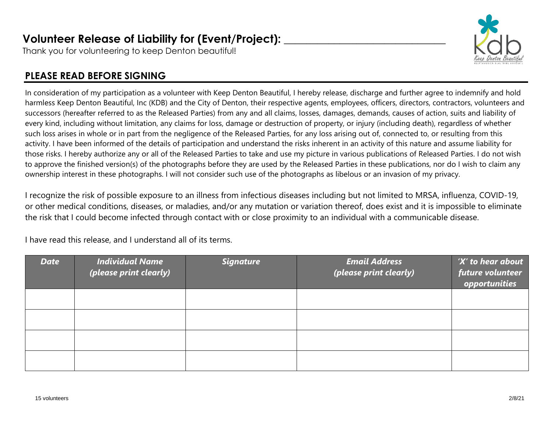## **Volunteer Release of Liability for (Event/Project): \_\_\_\_\_\_\_\_\_\_\_\_\_\_\_\_\_\_\_\_\_\_\_\_\_\_\_\_\_**

Thank you for volunteering to keep Denton beautiful!

## **PLEASE READ BEFORE SIGNING**

In consideration of my participation as a volunteer with Keep Denton Beautiful, I hereby release, discharge and further agree to indemnify and hold harmless Keep Denton Beautiful, Inc (KDB) and the City of Denton, their respective agents, employees, officers, directors, contractors, volunteers and successors (hereafter referred to as the Released Parties) from any and all claims, losses, damages, demands, causes of action, suits and liability of every kind, including without limitation, any claims for loss, damage or destruction of property, or injury (including death), regardless of whether such loss arises in whole or in part from the negligence of the Released Parties, for any loss arising out of, connected to, or resulting from this activity. I have been informed of the details of participation and understand the risks inherent in an activity of this nature and assume liability for those risks. I hereby authorize any or all of the Released Parties to take and use my picture in various publications of Released Parties. I do not wish to approve the finished version(s) of the photographs before they are used by the Released Parties in these publications, nor do I wish to claim any ownership interest in these photographs. I will not consider such use of the photographs as libelous or an invasion of my privacy.

I recognize the risk of possible exposure to an illness from infectious diseases including but not limited to MRSA, influenza, COVID-19, or other medical conditions, diseases, or maladies, and/or any mutation or variation thereof, does exist and it is impossible to eliminate the risk that I could become infected through contact with or close proximity to an individual with a communicable disease.

I have read this release, and I understand all of its terms.

| <b>Date</b> | <b>Individual Name</b><br>(please print clearly) | <b>Signature</b> | <b>Email Address</b><br>(please print clearly) | 'X' to hear about<br>future volunteer<br>opportunities |
|-------------|--------------------------------------------------|------------------|------------------------------------------------|--------------------------------------------------------|
|             |                                                  |                  |                                                |                                                        |
|             |                                                  |                  |                                                |                                                        |
|             |                                                  |                  |                                                |                                                        |
|             |                                                  |                  |                                                |                                                        |